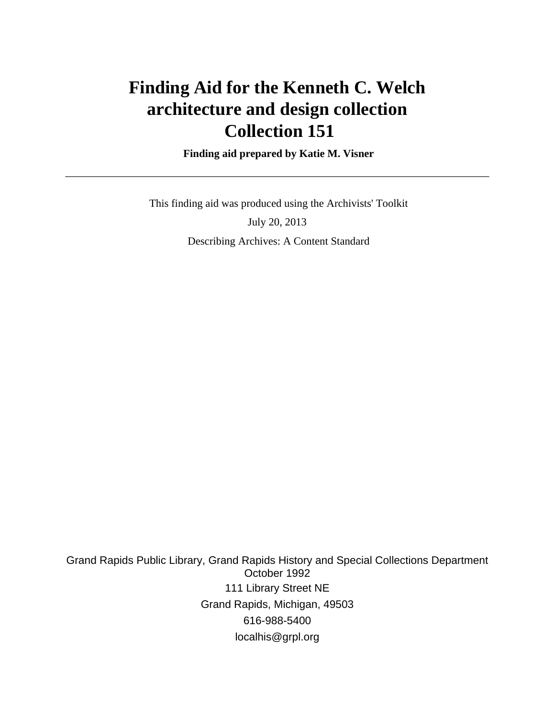# **Finding Aid for the Kenneth C. Welch architecture and design collection Collection 151**

 **Finding aid prepared by Katie M. Visner**

 This finding aid was produced using the Archivists' Toolkit July 20, 2013 Describing Archives: A Content Standard

Grand Rapids Public Library, Grand Rapids History and Special Collections Department October 1992 111 Library Street NE Grand Rapids, Michigan, 49503 616-988-5400 localhis@grpl.org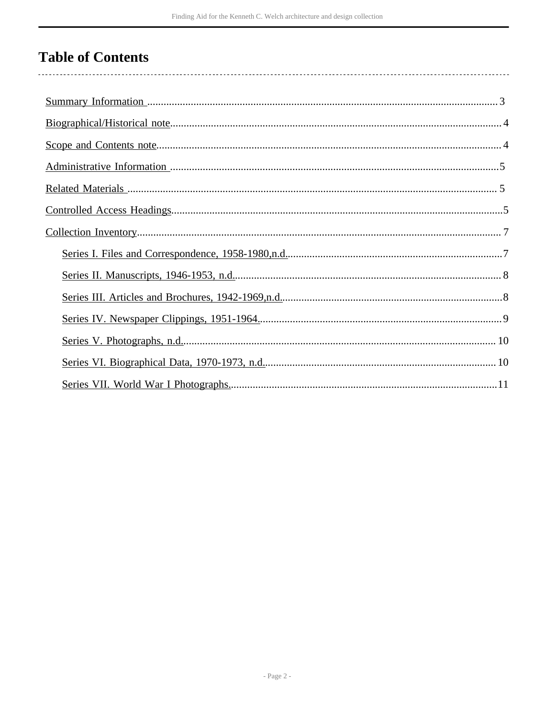# **Table of Contents**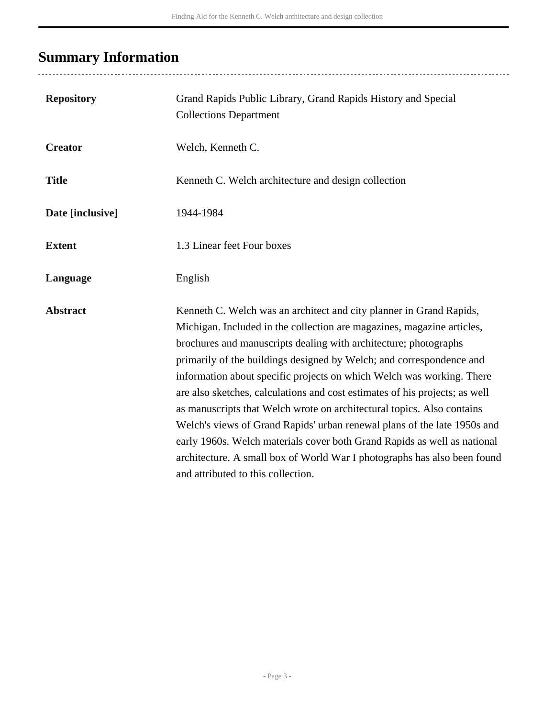## <span id="page-2-0"></span>**Summary Information**

| <b>Repository</b> | Grand Rapids Public Library, Grand Rapids History and Special<br><b>Collections Department</b>                                                                                                                                                                                                                                                                                                                                                                                                                                                                                                          |
|-------------------|---------------------------------------------------------------------------------------------------------------------------------------------------------------------------------------------------------------------------------------------------------------------------------------------------------------------------------------------------------------------------------------------------------------------------------------------------------------------------------------------------------------------------------------------------------------------------------------------------------|
|                   |                                                                                                                                                                                                                                                                                                                                                                                                                                                                                                                                                                                                         |
| <b>Creator</b>    | Welch, Kenneth C.                                                                                                                                                                                                                                                                                                                                                                                                                                                                                                                                                                                       |
| <b>Title</b>      | Kenneth C. Welch architecture and design collection                                                                                                                                                                                                                                                                                                                                                                                                                                                                                                                                                     |
| Date [inclusive]  | 1944-1984                                                                                                                                                                                                                                                                                                                                                                                                                                                                                                                                                                                               |
| <b>Extent</b>     | 1.3 Linear feet Four boxes                                                                                                                                                                                                                                                                                                                                                                                                                                                                                                                                                                              |
| Language          | English                                                                                                                                                                                                                                                                                                                                                                                                                                                                                                                                                                                                 |
| <b>Abstract</b>   | Kenneth C. Welch was an architect and city planner in Grand Rapids,<br>Michigan. Included in the collection are magazines, magazine articles,<br>brochures and manuscripts dealing with architecture; photographs<br>primarily of the buildings designed by Welch; and correspondence and<br>information about specific projects on which Welch was working. There<br>are also sketches, calculations and cost estimates of his projects; as well<br>as manuscripts that Welch wrote on architectural topics. Also contains<br>Welch's views of Grand Rapids' urban renewal plans of the late 1950s and |
|                   | early 1960s. Welch materials cover both Grand Rapids as well as national<br>architecture. A small box of World War I photographs has also been found<br>and attributed to this collection.                                                                                                                                                                                                                                                                                                                                                                                                              |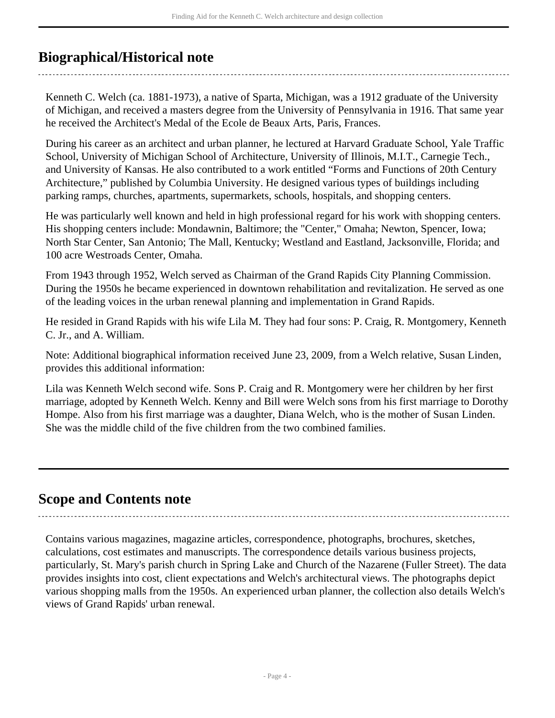## <span id="page-3-0"></span>**Biographical/Historical note**

Kenneth C. Welch (ca. 1881-1973), a native of Sparta, Michigan, was a 1912 graduate of the University of Michigan, and received a masters degree from the University of Pennsylvania in 1916. That same year he received the Architect's Medal of the Ecole de Beaux Arts, Paris, Frances.

During his career as an architect and urban planner, he lectured at Harvard Graduate School, Yale Traffic School, University of Michigan School of Architecture, University of Illinois, M.I.T., Carnegie Tech., and University of Kansas. He also contributed to a work entitled "Forms and Functions of 20th Century Architecture," published by Columbia University. He designed various types of buildings including parking ramps, churches, apartments, supermarkets, schools, hospitals, and shopping centers.

He was particularly well known and held in high professional regard for his work with shopping centers. His shopping centers include: Mondawnin, Baltimore; the "Center," Omaha; Newton, Spencer, Iowa; North Star Center, San Antonio; The Mall, Kentucky; Westland and Eastland, Jacksonville, Florida; and 100 acre Westroads Center, Omaha.

From 1943 through 1952, Welch served as Chairman of the Grand Rapids City Planning Commission. During the 1950s he became experienced in downtown rehabilitation and revitalization. He served as one of the leading voices in the urban renewal planning and implementation in Grand Rapids.

He resided in Grand Rapids with his wife Lila M. They had four sons: P. Craig, R. Montgomery, Kenneth C. Jr., and A. William.

Note: Additional biographical information received June 23, 2009, from a Welch relative, Susan Linden, provides this additional information:

Lila was Kenneth Welch second wife. Sons P. Craig and R. Montgomery were her children by her first marriage, adopted by Kenneth Welch. Kenny and Bill were Welch sons from his first marriage to Dorothy Hompe. Also from his first marriage was a daughter, Diana Welch, who is the mother of Susan Linden. She was the middle child of the five children from the two combined families.

### <span id="page-3-1"></span>**Scope and Contents note**

Contains various magazines, magazine articles, correspondence, photographs, brochures, sketches, calculations, cost estimates and manuscripts. The correspondence details various business projects, particularly, St. Mary's parish church in Spring Lake and Church of the Nazarene (Fuller Street). The data provides insights into cost, client expectations and Welch's architectural views. The photographs depict various shopping malls from the 1950s. An experienced urban planner, the collection also details Welch's views of Grand Rapids' urban renewal.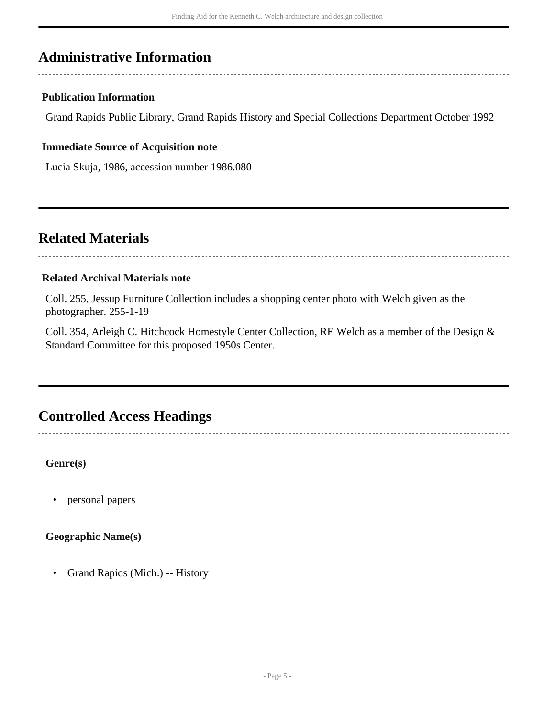### <span id="page-4-0"></span>**Administrative Information**

### **Publication Information**

Grand Rapids Public Library, Grand Rapids History and Special Collections Department October 1992

#### **Immediate Source of Acquisition note**

Lucia Skuja, 1986, accession number 1986.080

### <span id="page-4-1"></span>**Related Materials**

#### **Related Archival Materials note**

Coll. 255, Jessup Furniture Collection includes a shopping center photo with Welch given as the photographer. 255-1-19

Coll. 354, Arleigh C. Hitchcock Homestyle Center Collection, RE Welch as a member of the Design & Standard Committee for this proposed 1950s Center.

## <span id="page-4-2"></span>**Controlled Access Headings**

**Genre(s)**

• personal papers

**Geographic Name(s)**

• Grand Rapids (Mich.) -- History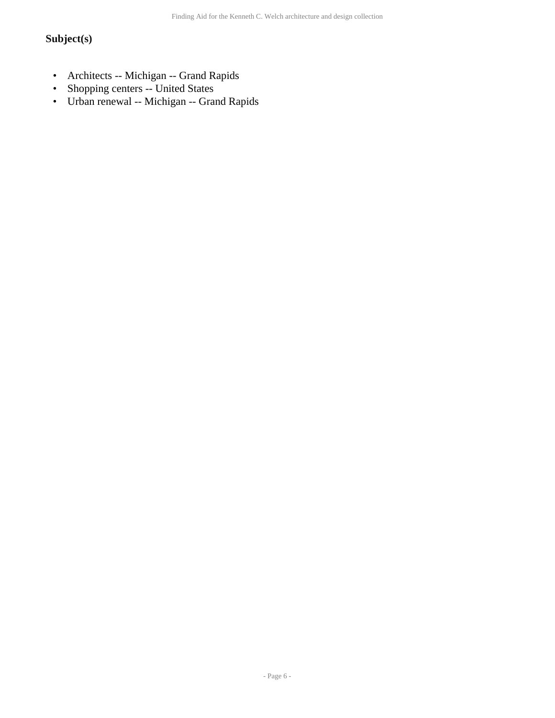### **Subject(s)**

- Architects -- Michigan -- Grand Rapids
- Shopping centers -- United States
- Urban renewal -- Michigan -- Grand Rapids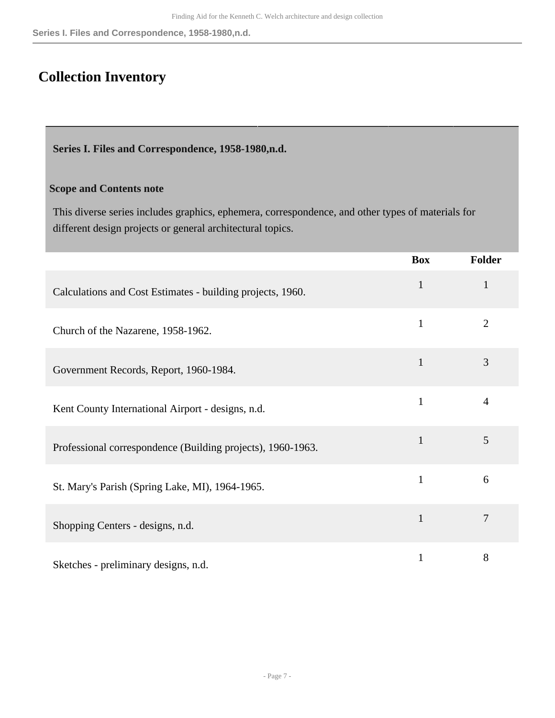## <span id="page-6-0"></span>**Collection Inventory**

<span id="page-6-1"></span>**Series I. Files and Correspondence, 1958-1980,n.d.** 

#### **Scope and Contents note**

This diverse series includes graphics, ephemera, correspondence, and other types of materials for different design projects or general architectural topics.

|                                                             | <b>Box</b>   | Folder         |
|-------------------------------------------------------------|--------------|----------------|
| Calculations and Cost Estimates - building projects, 1960.  | $\mathbf{1}$ | $\mathbf{1}$   |
| Church of the Nazarene, 1958-1962.                          | 1            | $\overline{2}$ |
| Government Records, Report, 1960-1984.                      | $\mathbf{1}$ | 3              |
| Kent County International Airport - designs, n.d.           | $\mathbf{1}$ | 4              |
| Professional correspondence (Building projects), 1960-1963. | $\mathbf{1}$ | 5              |
| St. Mary's Parish (Spring Lake, MI), 1964-1965.             | $\mathbf{1}$ | 6              |
| Shopping Centers - designs, n.d.                            | $\mathbf{1}$ | 7              |
| Sketches - preliminary designs, n.d.                        | 1            | 8              |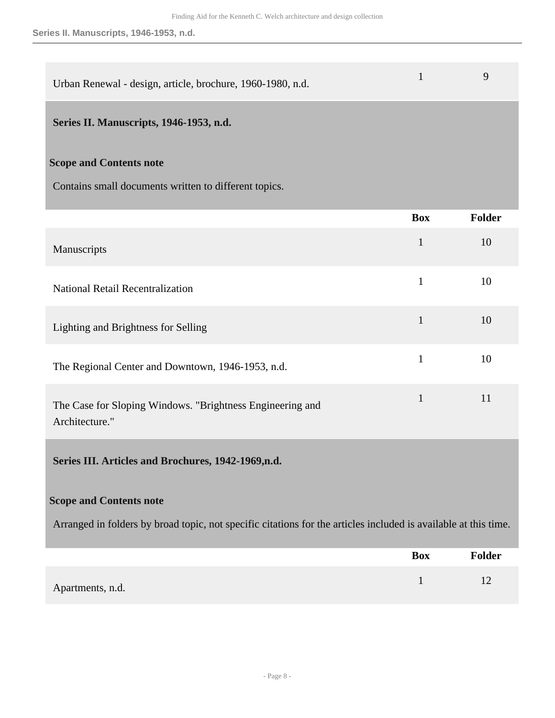| Urban Renewal - design, article, brochure, 1960-1980, n.d. |  |  |
|------------------------------------------------------------|--|--|
|------------------------------------------------------------|--|--|

### <span id="page-7-0"></span>**Series II. Manuscripts, 1946-1953, n.d.**

### **Scope and Contents note**

Contains small documents written to different topics.

|                                                                                                                 | <b>Box</b>   | Folder |
|-----------------------------------------------------------------------------------------------------------------|--------------|--------|
| Manuscripts                                                                                                     | $\mathbf{1}$ | 10     |
| <b>National Retail Recentralization</b>                                                                         | $\mathbf{1}$ | 10     |
| Lighting and Brightness for Selling                                                                             | $\mathbf{1}$ | 10     |
| The Regional Center and Downtown, 1946-1953, n.d.                                                               | $\mathbf{1}$ | 10     |
| The Case for Sloping Windows. "Brightness Engineering and<br>Architecture."                                     | $\mathbf{1}$ | 11     |
| Series III. Articles and Brochures, 1942-1969,n.d.                                                              |              |        |
| <b>Scope and Contents note</b>                                                                                  |              |        |
| Arranged in folders by broad topic, not specific citations for the articles included is available at this time. |              |        |
|                                                                                                                 | <b>Box</b>   | Folder |
|                                                                                                                 |              |        |

<span id="page-7-1"></span>Apartments, n.d. 12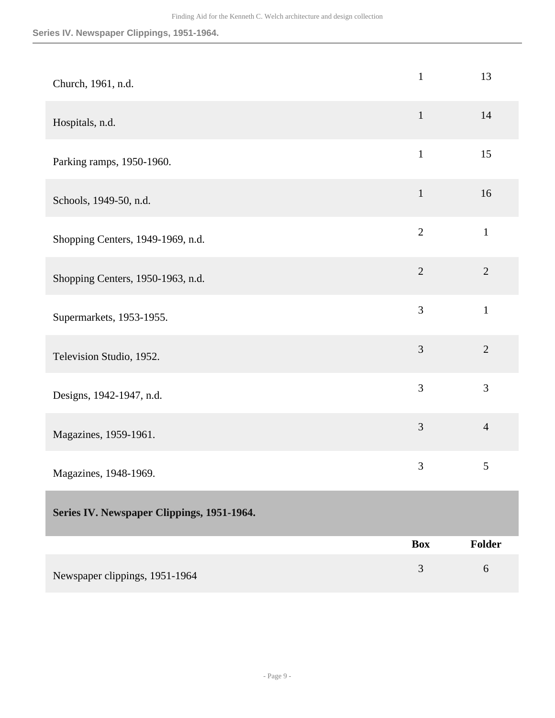**Series IV. Newspaper Clippings, 1951-1964.**

<span id="page-8-0"></span>

| Church, 1961, n.d.                         | $\mathbf{1}$   | 13             |
|--------------------------------------------|----------------|----------------|
| Hospitals, n.d.                            | $\mathbf{1}$   | 14             |
| Parking ramps, 1950-1960.                  | $\mathbf{1}$   | 15             |
| Schools, 1949-50, n.d.                     | $\mathbf{1}$   | 16             |
| Shopping Centers, 1949-1969, n.d.          | $\overline{2}$ | $\mathbf{1}$   |
| Shopping Centers, 1950-1963, n.d.          | $\overline{2}$ | $\overline{2}$ |
| Supermarkets, 1953-1955.                   | 3              | $\mathbf{1}$   |
| Television Studio, 1952.                   | 3              | $\overline{2}$ |
| Designs, 1942-1947, n.d.                   | 3              | 3              |
| Magazines, 1959-1961.                      | $\overline{3}$ | $\overline{4}$ |
| Magazines, 1948-1969.                      | 3              | 5              |
| Series IV. Newspaper Clippings, 1951-1964. |                |                |
|                                            | <b>Box</b>     | Folder         |
| Newspaper clippings, 1951-1964             | 3              | 6              |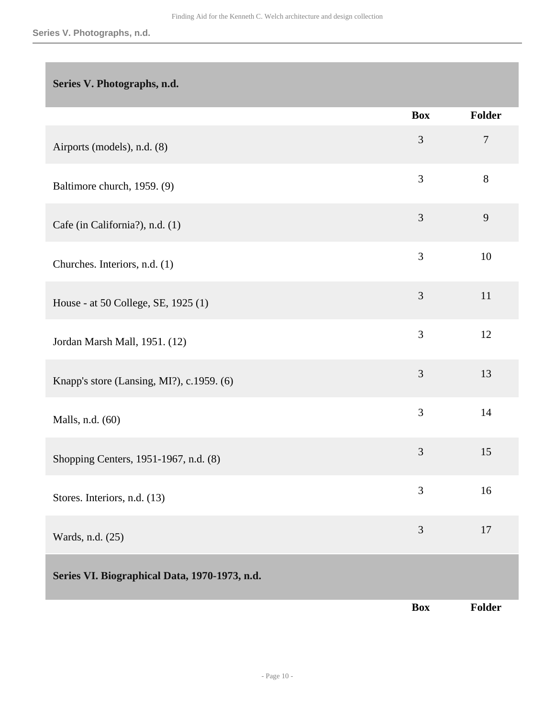### <span id="page-9-0"></span>**Series V. Photographs, n.d.**

<span id="page-9-1"></span>

|                                               | <b>Box</b>     | Folder |
|-----------------------------------------------|----------------|--------|
| Airports (models), n.d. (8)                   | 3              | $\tau$ |
| Baltimore church, 1959. (9)                   | 3              | $8\,$  |
| Cafe (in California?), n.d. (1)               | 3              | 9      |
| Churches. Interiors, n.d. (1)                 | 3              | 10     |
| House - at 50 College, SE, 1925 (1)           | 3              | 11     |
| Jordan Marsh Mall, 1951. (12)                 | 3              | 12     |
| Knapp's store (Lansing, MI?), c.1959. (6)     | 3              | 13     |
| Malls, n.d. (60)                              | 3              | 14     |
| Shopping Centers, 1951-1967, n.d. (8)         | 3              | 15     |
| Stores. Interiors, n.d. (13)                  | $\mathfrak{Z}$ | 16     |
| Wards, n.d. (25)                              | 3              | 17     |
| Series VI. Biographical Data, 1970-1973, n.d. |                |        |
|                                               | <b>Box</b>     | Folder |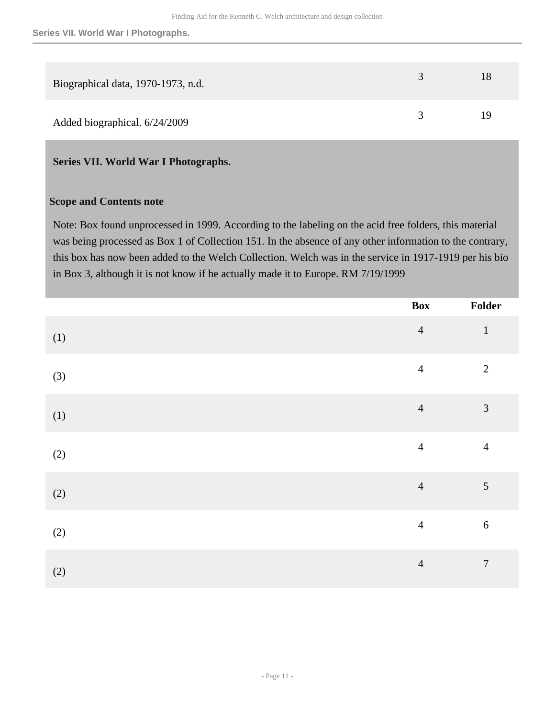| Biographical data, 1970-1973, n.d. |  |
|------------------------------------|--|
| Added biographical. 6/24/2009      |  |

### <span id="page-10-0"></span>**Series VII. World War I Photographs.**

#### **Scope and Contents note**

Note: Box found unprocessed in 1999. According to the labeling on the acid free folders, this material was being processed as Box 1 of Collection 151. In the absence of any other information to the contrary, this box has now been added to the Welch Collection. Welch was in the service in 1917-1919 per his bio in Box 3, although it is not know if he actually made it to Europe. RM 7/19/1999

|       | Box            | Folder           |
|-------|----------------|------------------|
| (1)   | $\overline{4}$ | $\mathbf{1}$     |
| $(3)$ | $\overline{4}$ | $\overline{2}$   |
| (1)   | $\overline{4}$ | $\overline{3}$   |
| (2)   | $\overline{4}$ | $\overline{4}$   |
| $(2)$ | $\overline{4}$ | $\mathfrak{S}$   |
| (2)   | $\overline{4}$ | $\sqrt{6}$       |
| (2)   | $\overline{4}$ | $\boldsymbol{7}$ |